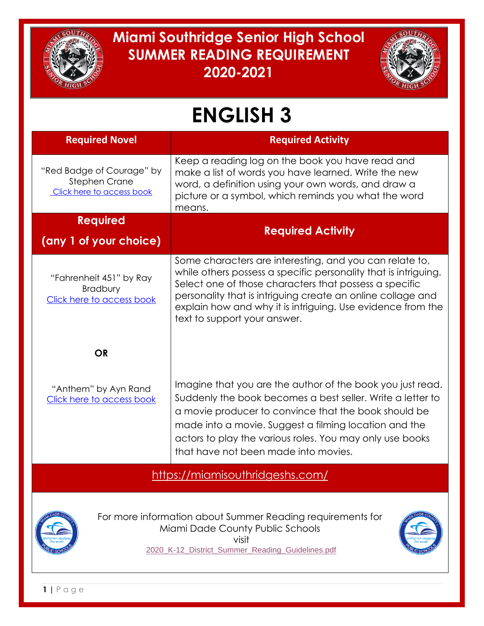

## **Miami Southridge Senior High School SUMMER READING REQUIREMENT 2020-2021**



## **ENGLISH 3**

| <b>Required Novel</b>                                                          | <b>Required Activity</b>                                                                                                                                                                                                                                                                                                                           |  |
|--------------------------------------------------------------------------------|----------------------------------------------------------------------------------------------------------------------------------------------------------------------------------------------------------------------------------------------------------------------------------------------------------------------------------------------------|--|
| "Red Badge of Courage" by<br><b>Stephen Crane</b><br>Click here to access book | Keep a reading log on the book you have read and<br>make a list of words you have learned. Write the new<br>word, a definition using your own words, and draw a<br>picture or a symbol, which reminds you what the word<br>means.                                                                                                                  |  |
| <b>Required</b><br>(any 1 of your choice)                                      | <b>Required Activity</b>                                                                                                                                                                                                                                                                                                                           |  |
| "Fahrenheit 451" by Ray<br>Bradbury<br>Click here to access book               | Some characters are interesting, and you can relate to,<br>while others possess a specific personality that is intriguing.<br>Select one of those characters that possess a specific<br>personality that is intriguing create an online collage and<br>explain how and why it is intriguing. Use evidence from the<br>text to support your answer. |  |
| <b>OR</b>                                                                      |                                                                                                                                                                                                                                                                                                                                                    |  |
| "Anthem" by Ayn Rand<br>Click here to access book                              | Imagine that you are the author of the book you just read.<br>Suddenly the book becomes a best seller. Write a letter to<br>a movie producer to convince that the book should be<br>made into a movie. Suggest a filming location and the<br>actors to play the various roles. You may only use books<br>that have not been made into movies.      |  |
| https://miamisouthridgeshs.com/                                                |                                                                                                                                                                                                                                                                                                                                                    |  |
|                                                                                | For more information about Summer Reading requirements for<br>Miami Dade County Public Schools<br>visit<br>2020_K-12_District_Summer_Reading_Guidelines.pdf                                                                                                                                                                                        |  |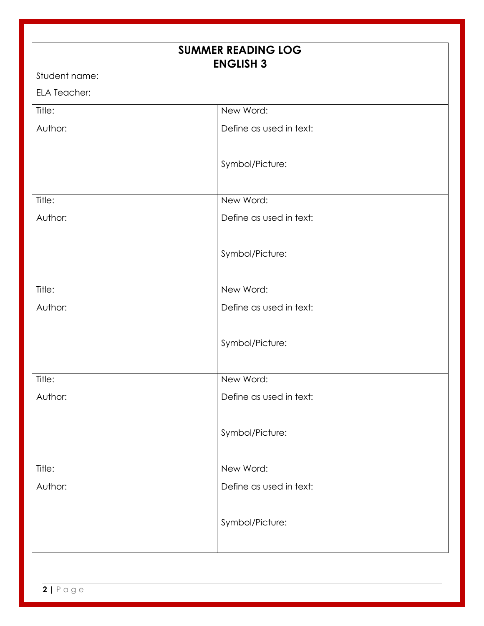| <b>SUMMER READING LOG</b> |                         |  |
|---------------------------|-------------------------|--|
| <b>ENGLISH 3</b>          |                         |  |
| Student name:             |                         |  |
| <b>ELA Teacher:</b>       |                         |  |
| Title:                    | New Word:               |  |
| Author:                   | Define as used in text: |  |
|                           | Symbol/Picture:         |  |
| Title:                    | New Word:               |  |
| Author:                   | Define as used in text: |  |
|                           | Symbol/Picture:         |  |
| Title:                    | New Word:               |  |
| Author:                   | Define as used in text: |  |
|                           | Symbol/Picture:         |  |
| Title:                    | New Word:               |  |
| Author:                   | Define as used in text: |  |
|                           | Symbol/Picture:         |  |
| Title:                    | New Word:               |  |
| Author:                   | Define as used in text: |  |
|                           | Symbol/Picture:         |  |